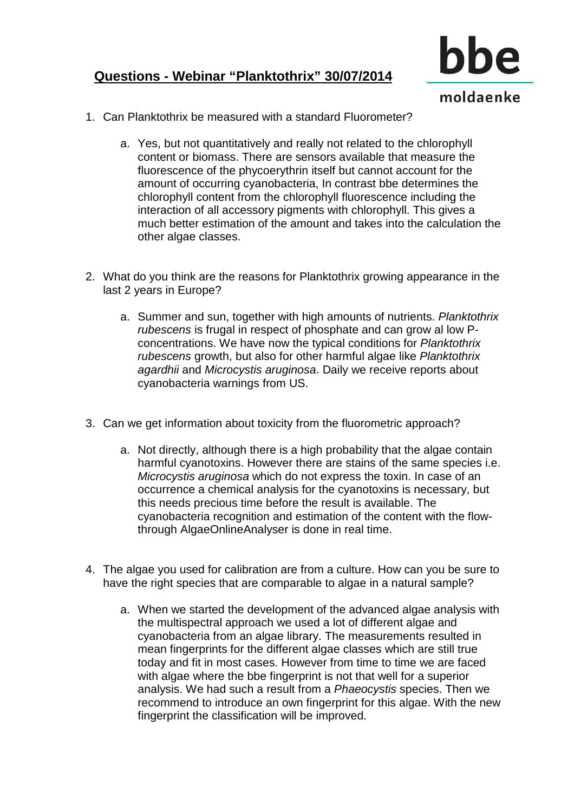## **Questions - Webinar "Planktothrix" 30/07/2014**



## moldaenke

- 1. Can Planktothrix be measured with a standard Fluorometer?
	- a. Yes, but not quantitatively and really not related to the chlorophyll content or biomass. There are sensors available that measure the fluorescence of the phycoerythrin itself but cannot account for the amount of occurring cyanobacteria, In contrast bbe determines the chlorophyll content from the chlorophyll fluorescence including the interaction of all accessory pigments with chlorophyll. This gives a much better estimation of the amount and takes into the calculation the other algae classes.
- 2. What do you think are the reasons for Planktothrix growing appearance in the last 2 years in Europe?
	- a. Summer and sun, together with high amounts of nutrients. Planktothrix rubescens is frugal in respect of phosphate and can grow al low Pconcentrations. We have now the typical conditions for Planktothrix rubescens growth, but also for other harmful algae like Planktothrix agardhii and Microcystis aruginosa. Daily we receive reports about cyanobacteria warnings from US.
- 3. Can we get information about toxicity from the fluorometric approach?
	- a. Not directly, although there is a high probability that the algae contain harmful cyanotoxins. However there are stains of the same species i.e. Microcystis aruginosa which do not express the toxin. In case of an occurrence a chemical analysis for the cyanotoxins is necessary, but this needs precious time before the result is available. The cyanobacteria recognition and estimation of the content with the flowthrough AlgaeOnlineAnalyser is done in real time.
- 4. The algae you used for calibration are from a culture. How can you be sure to have the right species that are comparable to algae in a natural sample?
	- a. When we started the development of the advanced algae analysis with the multispectral approach we used a lot of different algae and cyanobacteria from an algae library. The measurements resulted in mean fingerprints for the different algae classes which are still true today and fit in most cases. However from time to time we are faced with algae where the bbe fingerprint is not that well for a superior analysis. We had such a result from a Phaeocystis species. Then we recommend to introduce an own fingerprint for this algae. With the new fingerprint the classification will be improved.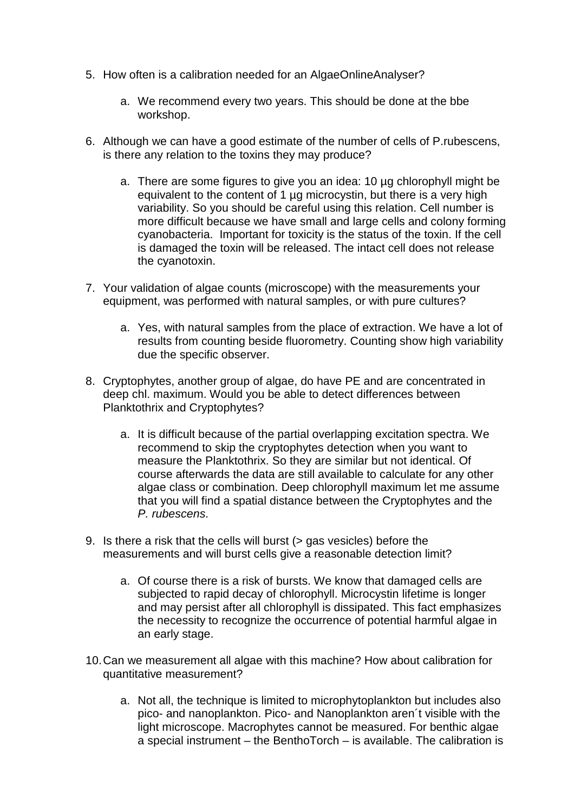- 5. How often is a calibration needed for an AlgaeOnlineAnalyser?
	- a. We recommend every two years. This should be done at the bbe workshop.
- 6. Although we can have a good estimate of the number of cells of P.rubescens, is there any relation to the toxins they may produce?
	- a. There are some figures to give you an idea: 10 µg chlorophyll might be equivalent to the content of 1 µg microcystin, but there is a very high variability. So you should be careful using this relation. Cell number is more difficult because we have small and large cells and colony forming cyanobacteria. Important for toxicity is the status of the toxin. If the cell is damaged the toxin will be released. The intact cell does not release the cyanotoxin.
- 7. Your validation of algae counts (microscope) with the measurements your equipment, was performed with natural samples, or with pure cultures?
	- a. Yes, with natural samples from the place of extraction. We have a lot of results from counting beside fluorometry. Counting show high variability due the specific observer.
- 8. Cryptophytes, another group of algae, do have PE and are concentrated in deep chl. maximum. Would you be able to detect differences between Planktothrix and Cryptophytes?
	- a. It is difficult because of the partial overlapping excitation spectra. We recommend to skip the cryptophytes detection when you want to measure the Planktothrix. So they are similar but not identical. Of course afterwards the data are still available to calculate for any other algae class or combination. Deep chlorophyll maximum let me assume that you will find a spatial distance between the Cryptophytes and the P. rubescens.
- 9. Is there a risk that the cells will burst (> gas vesicles) before the measurements and will burst cells give a reasonable detection limit?
	- a. Of course there is a risk of bursts. We know that damaged cells are subjected to rapid decay of chlorophyll. Microcystin lifetime is longer and may persist after all chlorophyll is dissipated. This fact emphasizes the necessity to recognize the occurrence of potential harmful algae in an early stage.
- 10. Can we measurement all algae with this machine? How about calibration for quantitative measurement?
	- a. Not all, the technique is limited to microphytoplankton but includes also pico- and nanoplankton. Pico- and Nanoplankton aren´t visible with the light microscope. Macrophytes cannot be measured. For benthic algae a special instrument – the BenthoTorch – is available. The calibration is